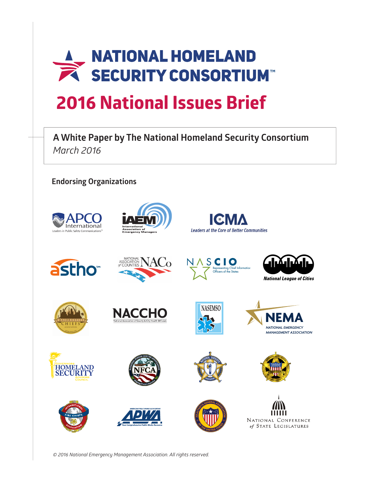

**A White Paper by The National Homeland Security Consortium** *March 2016*

**Endorsing Organizations**







































*© 2016 National Emergency Management Association. All rights reserved.*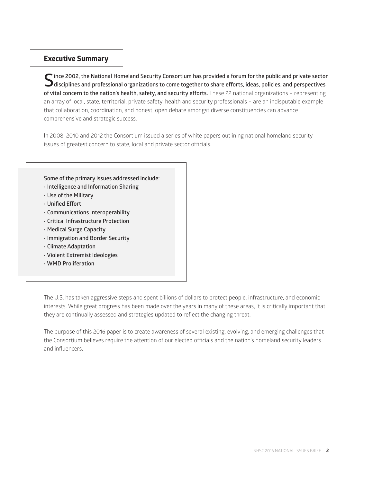# **Executive Summary**

**Since 2002, the National Homeland Security Consortium has provided a forum for the public and private sector disciplines and professional organizations to come together to share efforts, ideas, policies, and perspectives of vital concern to the nation's health, safety, and security efforts.** These 22 national organizations – representing an array of local, state, territorial, private safety, health and security professionals – are an indisputable example that collaboration, coordination, and honest, open debate amongst diverse constituencies can advance comprehensive and strategic success.

In 2008, 2010 and 2012 the Consortium issued a series of white papers outlining national homeland security issues of greatest concern to state, local and private sector officials.

#### **Some of the primary issues addressed include:**

- **Intelligence and Information Sharing**
- **Use of the Military**
- **Unified Effort**
- **Communications Interoperability**
- **Critical Infrastructure Protection**
- **Medical Surge Capacity**
- **Immigration and Border Security**
- **Climate Adaptation**
- **Violent Extremist Ideologies**
- **WMD Proliferation**

The U.S. has taken aggressive steps and spent billions of dollars to protect people, infrastructure, and economic interests. While great progress has been made over the years in many of these areas, it is critically important that they are continually assessed and strategies updated to reflect the changing threat.

The purpose of this 2016 paper is to create awareness of several existing, evolving, and emerging challenges that the Consortium believes require the attention of our elected officials and the nation's homeland security leaders and influencers.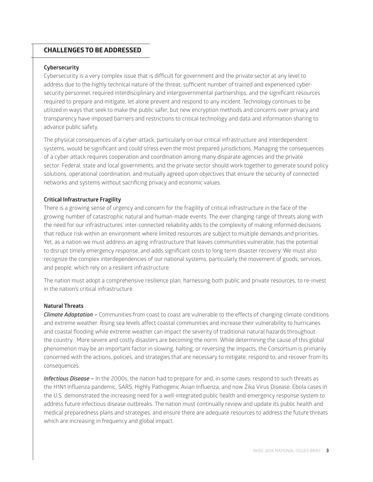# **CHALLENGES TO BE ADDRESSED**

#### **Cybersecurity**

Cybersecurity is a very complex issue that is difficult for government and the private sector at any level to address due to the highly technical nature of the threat, sufficient number of trained and experienced cybersecurity personnel, required interdisciplinary and intergovernmental partnerships, and the significant resources required to prepare and mitigate, let alone prevent and respond to any incident. Technology continues to be utilized in ways that seek to make the public safer, but new encryption methods and concerns over privacy and transparency have imposed barriers and restrictions to critical technology and data and information sharing to advance public safety.

The physical consequences of a cyber-attack, particularly on our critical infrastructure and interdependent systems, would be significant and could stress even the most prepared jurisdictions. Managing the consequences of a cyber-attack requires cooperation and coordination among many disparate agencies and the private sector. Federal, state and local governments, and the private sector should work together to generate sound policy solutions, operational coordination, and mutually agreed upon objectives that ensure the security of connected networks and systems without sacrificing privacy and economic values.

#### **Critical Infrastructure Fragility**

There is a growing sense of urgency and concern for the fragility of critical infrastructure in the face of the growing number of catastrophic natural and human-made events. The ever changing range of threats along with the need for our infrastructures' inter-connected reliability adds to the complexity of making informed decisions that reduce risk within an environment where limited resources are subject to multiple demands and priorities. Yet, as a nation we must address an aging infrastructure that leaves communities vulnerable, has the potential to disrupt timely emergency response, and adds significant costs to long term disaster recovery. We must also recognize the complex interdependencies of our national systems, particularly the movement of goods, services, and people, which rely on a resilient infrastructure.

The nation must adopt a comprehensive resilience plan, harnessing both public and private resources, to re-invest in the nation's critical infrastructure.

#### **Natural Threats**

*Climate Adaptation –* Communities from coast to coast are vulnerable to the effects of changing climate conditions and extreme weather. Rising sea levels affect coastal communities and increase their vulnerability to hurricanes and coastal flooding while extreme weather can impact the severity of traditional natural hazards throughout the country. More severe and costly disasters are becoming the norm. While determining the cause of this global phenomenon may be an important factor in slowing, halting, or reversing the impacts, the Consortium is primarily concerned with the actions, policies, and strategies that are necessary to mitigate, respond to, and recover from its consequences.

*Infectious Disease –* In the 2000s, the nation had to prepare for and, in some cases, respond to such threats as the H1N1 influenza pandemic, SARS, Highly Pathogenic Avian Influenza, and now Zika Virus Disease. Ebola cases in the U.S. demonstrated the increasing need for a well-integrated public health and emergency response system to address future infectious disease outbreaks. The nation must continually review and update its public health and medical preparedness plans and strategies, and ensure there are adequate resources to address the future threats which are increasing in frequency and global impact.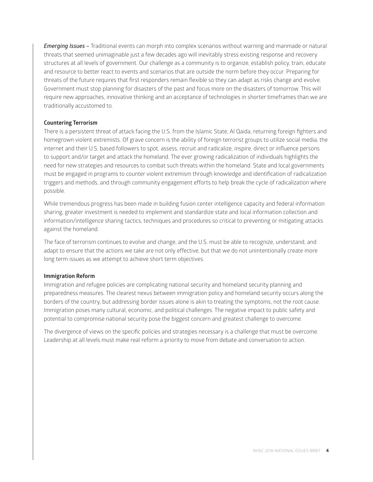*Emerging Issues –* Traditional events can morph into complex scenarios without warning and manmade or natural threats that seemed unimaginable just a few decades ago will inevitably stress existing response and recovery structures at all levels of government. Our challenge as a community is to organize, establish policy, train, educate and resource to better react to events and scenarios that are outside the norm before they occur. Preparing for threats of the future requires that first responders remain flexible so they can adapt as risks change and evolve. Government must stop planning for disasters of the past and focus more on the disasters of tomorrow. This will require new approaches, innovative thinking and an acceptance of technologies in shorter timeframes than we are traditionally accustomed to.

#### **Countering Terrorism**

There is a persistent threat of attack facing the U.S. from the Islamic State, Al Qaida, returning foreign fighters and homegrown violent extremists. Of grave concern is the ability of foreign terrorist groups to utilize social media, the internet and their U.S. based followers to spot, assess, recruit and radicalize, inspire, direct or influence persons to support and/or target and attack the homeland. The ever growing radicalization of individuals highlights the need for new strategies and resources to combat such threats within the homeland. State and local governments must be engaged in programs to counter violent extremism through knowledge and identification of radicalization triggers and methods, and through community engagement efforts to help break the cycle of radicalization where possible.

While tremendous progress has been made in building fusion center intelligence capacity and federal information sharing, greater investment is needed to implement and standardize state and local information collection and information/intelligence sharing tactics, techniques and procedures so critical to preventing or mitigating attacks against the homeland.

The face of terrorism continues to evolve and change, and the U.S. must be able to recognize, understand, and adapt to ensure that the actions we take are not only effective, but that we do not unintentionally create more long term issues as we attempt to achieve short term objectives.

#### **Immigration Reform**

Immigration and refugee policies are complicating national security and homeland security planning and preparedness measures. The clearest nexus between immigration policy and homeland security occurs along the borders of the country, but addressing border issues alone is akin to treating the symptoms, not the root cause. Immigration poses many cultural, economic, and political challenges. The negative impact to public safety and potential to compromise national security pose the biggest concern and greatest challenge to overcome.

The divergence of views on the specific policies and strategies necessary is a challenge that must be overcome. Leadership at all levels must make real reform a priority to move from debate and conversation to action.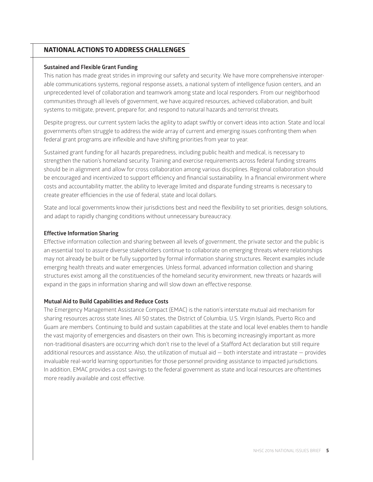# **NATIONAL ACTIONS TO ADDRESS CHALLENGES**

## **Sustained and Flexible Grant Funding**

This nation has made great strides in improving our safety and security. We have more comprehensive interoperable communications systems, regional response assets, a national system of intelligence fusion centers, and an unprecedented level of collaboration and teamwork among state and local responders. From our neighborhood communities through all levels of government, we have acquired resources, achieved collaboration, and built systems to mitigate, prevent, prepare for, and respond to natural hazards and terrorist threats.

Despite progress, our current system lacks the agility to adapt swiftly or convert ideas into action. State and local governments often struggle to address the wide array of current and emerging issues confronting them when federal grant programs are inflexible and have shifting priorities from year to year.

Sustained grant funding for all hazards preparedness, including public health and medical, is necessary to strengthen the nation's homeland security. Training and exercise requirements across federal funding streams should be in alignment and allow for cross collaboration among various disciplines. Regional collaboration should be encouraged and incentivized to support efficiency and financial sustainability. In a financial environment where costs and accountability matter, the ability to leverage limited and disparate funding streams is necessary to create greater efficiencies in the use of federal, state and local dollars.

State and local governments know their jurisdictions best and need the flexibility to set priorities, design solutions, and adapt to rapidly changing conditions without unnecessary bureaucracy.

## **Effective Information Sharing**

Effective information collection and sharing between all levels of government, the private sector and the public is an essential tool to assure diverse stakeholders continue to collaborate on emerging threats where relationships may not already be built or be fully supported by formal information sharing structures. Recent examples include emerging health threats and water emergencies. Unless formal, advanced information collection and sharing structures exist among all the constituencies of the homeland security environment, new threats or hazards will expand in the gaps in information sharing and will slow down an effective response.

# **Mutual Aid to Build Capabilities and Reduce Costs**

The Emergency Management Assistance Compact (EMAC) is the nation's interstate mutual aid mechanism for sharing resources across state lines. All 50 states, the District of Columbia, U.S. Virgin Islands, Puerto Rico and Guam are members. Continuing to build and sustain capabilities at the state and local level enables them to handle the vast majority of emergencies and disasters on their own. This is becoming increasingly important as more non-traditional disasters are occurring which don't rise to the level of a Stafford Act declaration but still require additional resources and assistance. Also, the utilization of mutual aid — both interstate and intrastate — provides invaluable real-world learning opportunities for those personnel providing assistance to impacted jurisdictions. In addition, EMAC provides a cost savings to the federal government as state and local resources are oftentimes more readily available and cost effective.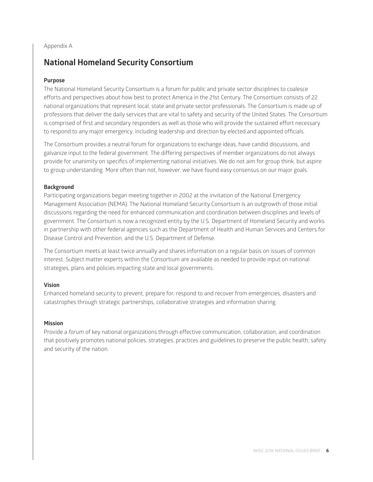Appendix A

# **National Homeland Security Consortium**

# **Purpose**

The National Homeland Security Consortium is a forum for public and private sector disciplines to coalesce efforts and perspectives about how best to protect America in the 21st Century. The Consortium consists of 22 national organizations that represent local, state and private sector professionals. The Consortium is made up of professions that deliver the daily services that are vital to safety and security of the United States. The Consortium is comprised of first and secondary responders as well as those who will provide the sustained effort necessary to respond to any major emergency, including leadership and direction by elected and appointed officials.

The Consortium provides a neutral forum for organizations to exchange ideas, have candid discussions, and galvanize input to the federal government. The differing perspectives of member organizations do not always provide for unanimity on specifics of implementing national initiatives. We do not aim for group think, but aspire to group understanding. More often than not, however, we have found easy consensus on our major goals.

# **Background**

Participating organizations began meeting together in 2002 at the invitation of the National Emergency Management Association (NEMA). The National Homeland Security Consortium is an outgrowth of those initial discussions regarding the need for enhanced communication and coordination between disciplines and levels of government. The Consortium is now a recognized entity by the U.S. Department of Homeland Security and works in partnership with other federal agencies such as the Department of Health and Human Services and Centers for Disease Control and Prevention, and the U.S. Department of Defense.

The Consortium meets at least twice annually and shares information on a regular basis on issues of common interest. Subject matter experts within the Consortium are available as needed to provide input on national strategies, plans and policies impacting state and local governments.

# **Vision**

Enhanced homeland security to prevent, prepare for, respond to and recover from emergencies, disasters and catastrophes through strategic partnerships, collaborative strategies and information sharing.

# **Mission**

Provide a *forum* of key national organizations through effective communication, collaboration, and coordination that positively promotes national policies, strategies, practices and guidelines to preserve the public health, safety and security of the nation.